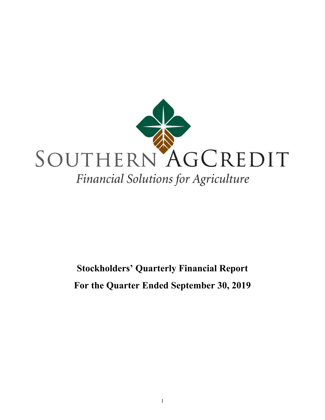

# **Stockholders' Quarterly Financial Report For the Quarter Ended September 30, 2019**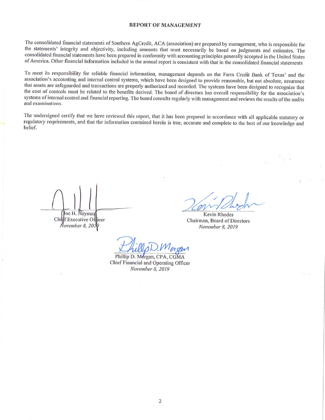#### **REPORT OF MANAGEMENT**

The consolidated financial statements of Southern AgCredit, ACA (association) are prepared by management, who is responsible for the statements' integrity and objectivity, including amounts that must necessarily be based on judgments and estimates. The consolidated financial statements have been prepared in conformity with accounting principles generally accepted in the United States of America. Other financial information included in the annual report is consistent with that in the consolidated financial statements

To meet its responsibility for reliable financial information, management depends on the Farm Credit Bank of Texas' and the association's accounting and internal control systems, which have been designed to provide reasonable, but not absolute, assurance that assets are safeguarded and transactions are properly authorized and recorded. The systems have been designed to recognize that the cost of controls must be related to the benefits derived. The board of directors has overall responsibility for the association's systems of internal control and financial reporting. The board consults regularly with management and reviews the results of the audits and examinations.

The undersigned certify that we have reviewed this report, that it has been prepared in accordance with all applicable statutory or regulatory requirements, and that the information contained herein is true, accurate and complete to the best of our knowledge and belief.

Joe H. Haymaı Chilf Executive Officer November 8, 2010

Kevin Rhodes Chairman, Board of Directors November 8, 2019

Phillip D. Morgan, CPA, CGMA Chief Financial and Operating Officer November 8, 2019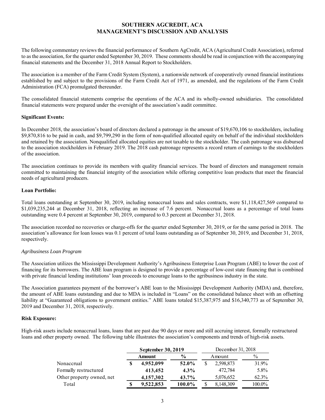# **SOUTHERN AGCREDIT, ACA MANAGEMENT'S DISCUSSION AND ANALYSIS**

The following commentary reviews the financial performance of Southern AgCredit, ACA (Agricultural Credit Association), referred to as the association, for the quarter ended September 30, 2019. These comments should be read in conjunction with the accompanying financial statements and the December 31, 2018 Annual Report to Stockholders.

The association is a member of the Farm Credit System (System), a nationwide network of cooperatively owned financial institutions established by and subject to the provisions of the Farm Credit Act of 1971, as amended, and the regulations of the Farm Credit Administration (FCA) promulgated thereunder.

The consolidated financial statements comprise the operations of the ACA and its wholly-owned subsidiaries. The consolidated financial statements were prepared under the oversight of the association's audit committee.

#### **Significant Events:**

In December 2018, the association's board of directors declared a patronage in the amount of \$19,670,106 to stockholders, including \$9,870,816 to be paid in cash, and \$9,799,290 in the form of non-qualified allocated equity on behalf of the individual stockholders and retained by the association. Nonqualified allocated equities are not taxable to the stockholder. The cash patronage was disbursed to the association stockholders in February 2019. The 2018 cash patronage represents a record return of earnings to the stockholders of the association.

The association continues to provide its members with quality financial services. The board of directors and management remain committed to maintaining the financial integrity of the association while offering competitive loan products that meet the financial needs of agricultural producers.

#### **Loan Portfolio:**

Total loans outstanding at September 30, 2019, including nonaccrual loans and sales contracts, were \$1,118,427,569 compared to \$1,039,235,244 at December 31, 2018, reflecting an increase of 7.6 percent. Nonaccrual loans as a percentage of total loans outstanding were 0.4 percent at September 30, 2019, compared to 0.3 percent at December 31, 2018.

The association recorded no recoveries or charge-offs for the quarter ended September 30, 2019, or for the same period in 2018. The association's allowance for loan losses was 0.1 percent of total loans outstanding as of September 30, 2019, and December 31, 2018, respectively.

#### *Agribusiness Loan Program*

The Association utilizes the Mississippi Development Authority's Agribusiness Enterprise Loan Program (ABE) to lower the cost of financing for its borrowers. The ABE loan program is designed to provide a percentage of low-cost state financing that is combined with private financial lending institutions' loan proceeds to encourage loans to the agribusiness industry in the state.

The Association guarantees payment of the borrower's ABE loan to the Mississippi Development Authority (MDA) and, therefore, the amount of ABE loans outstanding and due to MDA is included in "Loans" on the consolidated balance sheet with an offsetting liability at "Guaranteed obligations to government entities." ABE loans totaled \$15,387,975 and \$16,340,773 as of September 30, 2019 and December 31, 2018, respectively.

#### **Risk Exposure:**

High-risk assets include nonaccrual loans, loans that are past due 90 days or more and still accruing interest, formally restructured loans and other property owned. The following table illustrates the association's components and trends of high-risk assets.

|                           | September 30, 2019 |               |  | December 31, 2018 |        |  |
|---------------------------|--------------------|---------------|--|-------------------|--------|--|
|                           | Amount             | $\frac{0}{0}$ |  | Amount            | $\%$   |  |
| Nonaccrual                | 4,952,099          | 52.0%         |  | 2,598,873         | 31.9%  |  |
| Formally restructured     | 413,452            | $4.3\%$       |  | 472.784           | 5.8%   |  |
| Other property owned, net | 4,157,302          | $43.7\%$      |  | 5,076,652         | 62.3%  |  |
| Total                     | 9.522,853          | 100.0%        |  | 8,148,309         | 100.0% |  |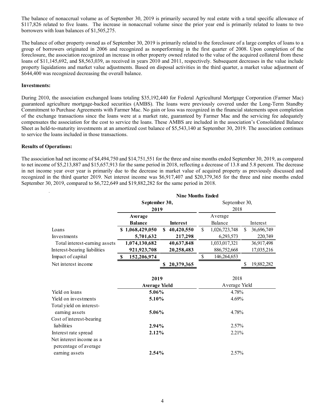The balance of nonaccrual volume as of September 30, 2019 is primarily secured by real estate with a total specific allowance of \$117,826 related to five loans. The increase in nonaccrual volume since the prior year end is primarily related to loans to two borrowers with loan balances of \$1,505,275.

The balance of other property owned as of September 30, 2019 is primarily related to the foreclosure of a large complex of loans to a group of borrowers originated in 2006 and recognized as nonperforming in the first quarter of 2008. Upon completion of the foreclosure, the association recognized an increase in other property owned related to the value of the acquired collateral from these loans of \$11,145,692, and \$8,563,039, as received in years 2010 and 2011, respectively. Subsequent decreases in the value include property liquidations and market value adjustments. Based on disposal activities in the third quarter, a market value adjustment of \$644,400 was recognized decreasing the overall balance.

#### **Investments:**

During 2010, the association exchanged loans totaling \$35,192,440 for Federal Agricultural Mortgage Corporation (Farmer Mac) guaranteed agriculture mortgage-backed securities (AMBS). The loans were previously covered under the Long-Term Standby Commitment to Purchase Agreements with Farmer Mac. No gain or loss was recognized in the financial statements upon completion of the exchange transactions since the loans were at a market rate, guaranteed by Farmer Mac and the servicing fee adequately compensates the association for the cost to service the loans. These AMBS are included in the association's Consolidated Balance Sheet as held-to-maturity investments at an amortized cost balance of \$5,543,140 at September 30, 2019. The association continues to service the loans included in those transactions.

#### **Results of Operations:**

The association had net income of \$4,494,750 and \$14,751,551 for the three and nine months ended September 30, 2019, as compared to net income of \$5,213,887 and \$15,657,913 for the same period in 2018, reflecting a decrease of 13.8 and 5.8 percent. The decrease in net income year over year is primarily due to the decrease in market value of acquired property as previously discussed and recognized in the third quarter 2019. Net interest income was \$6,917,407 and \$20,379,365 for the three and nine months ended September 30, 2019, compared to \$6,722,649 and \$19,882,282 for the same period in 2018.

|                               | <b>Nine Months Ended</b> |                            |               |               |     |            |  |
|-------------------------------|--------------------------|----------------------------|---------------|---------------|-----|------------|--|
|                               | September 30,            |                            | September 30, |               |     |            |  |
|                               | 2019                     |                            |               | 2018          |     |            |  |
|                               | Average                  |                            |               | Average       |     |            |  |
|                               | <b>Balance</b>           | <b>Interest</b>            |               | Balance       |     | Interest   |  |
| Loans                         | \$1,068,429,050          | $\mathbf{s}$<br>40,420,550 | \$            | 1,026,723,748 | \$. | 36,696,749 |  |
| Investments                   | 5,701,632                | 217,298                    |               | 6,293,573     |     | 220,749    |  |
| Total interest-earning assets | 1,074,130,682            | 40,637,848                 |               | 1,033,017,321 |     | 36,917,498 |  |
| Interest-bearing liabilities  | 921, 923, 708            | 20,258,483                 |               | 886,752,668   |     | 17,035,216 |  |
| Impact of capital             | 152,206,974<br>S         |                            | \$            | 146,264,653   |     |            |  |
| Net interest income           |                          | 20,379,365<br>S            |               |               | S   | 19,882,282 |  |
|                               |                          |                            |               |               |     |            |  |
|                               | 2019                     |                            |               | 2018          |     |            |  |
|                               | <b>Average Yield</b>     |                            |               | Average Yield |     |            |  |
| Yield on loans                | 5.06%                    |                            | 4.78%         |               |     |            |  |
| Yield on investments          | 5.10%                    |                            | 4.69%         |               |     |            |  |
| Total yield on interest-      |                          |                            |               |               |     |            |  |
| earning assets                | 5.06%                    |                            |               | 4.78%         |     |            |  |
| Cost of interest-bearing      |                          |                            |               |               |     |            |  |
| liabilities                   | 2.94%                    |                            |               | 2.57%         |     |            |  |
| Interest rate spread          | 2.12%                    |                            |               | 2.21%         |     |            |  |
| Net interest income as a      |                          |                            |               |               |     |            |  |
| percentage of average         |                          |                            |               |               |     |            |  |
| earning assets                | 2.54%                    |                            |               | 2.57%         |     |            |  |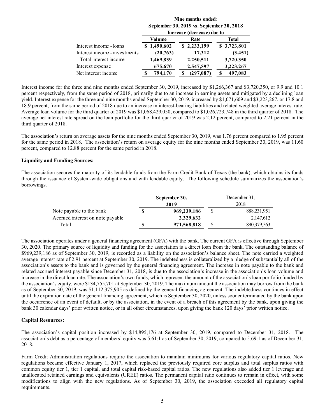|                               | Nine months ended:<br>September 30, 2019 vs. September 30, 2018 |                            |              |  |  |  |  |  |
|-------------------------------|-----------------------------------------------------------------|----------------------------|--------------|--|--|--|--|--|
|                               |                                                                 | Increase (decrease) due to |              |  |  |  |  |  |
|                               | Volume                                                          | Rate                       | <b>Total</b> |  |  |  |  |  |
| Interest income - loans       | \$1,490,602                                                     | \$2,233,199                | \$3,723,801  |  |  |  |  |  |
| Interest income - investments | (20, 763)                                                       | 17,312                     | (3,451)      |  |  |  |  |  |
| Total interest income         | 1,469,839                                                       | 2,250,511                  | 3,720,350    |  |  |  |  |  |
| Interest expense              | 675,670                                                         | 2,547,597                  | 3,223,267    |  |  |  |  |  |
| Net interest income           | 794,170                                                         | (297, 087)                 | 497,083<br>S |  |  |  |  |  |

Interest income for the three and nine months ended September 30, 2019, increased by \$1,266,367 and \$3,720,350, or 9.9 and 10.1 percent respectively, from the same period of 2018, primarily due to an increase in earning assets and mitigated by a declining loan yield. Interest expense for the three and nine months ended September 30, 2019, increased by \$1,071,609 and \$3,223,267, or 17.8 and 18.9 percent, from the same period of 2018 due to an increase in interest-bearing liabilities and related weighted average interest rate. Average loan volume for the third quarter of 2019 was \$1,068,429,050, compared to \$1,026,723,748 in the third quarter of 2018. The average net interest rate spread on the loan portfolio for the third quarter of 2019 was 2.12 percent, compared to 2.21 percent in the third quarter of 2018.

The association's return on average assets for the nine months ended September 30, 2019, was 1.76 percent compared to 1.95 percent for the same period in 2018. The association's return on average equity for the nine months ended September 30, 2019, was 11.60 percent, compared to 12.88 percent for the same period in 2018.

#### **Liquidity and Funding Sources:**

The association secures the majority of its lendable funds from the Farm Credit Bank of Texas (the bank), which obtains its funds through the issuance of System-wide obligations and with lendable equity. The following schedule summarizes the association's borrowings.

|                                  | September 30, | December 31,<br>2018 |               |  |
|----------------------------------|---------------|----------------------|---------------|--|
|                                  | 2019          |                      |               |  |
| Note payable to the bank         | 969,239,186   |                      | 888, 231, 951 |  |
| Accrued interest on note payable | 2.329.632     |                      | 2,147,612     |  |
| Total                            | 971,568,818   |                      | 890,379,563   |  |

The association operates under a general financing agreement (GFA) with the bank. The current GFA is effective through September 30, 2020. The primary source of liquidity and funding for the association is a direct loan from the bank. The outstanding balance of \$969,239,186 as of September 30, 2019, is recorded as a liability on the association's balance sheet. The note carried a weighted average interest rate of 2.91 percent at September 30, 2019. The indebtedness is collateralized by a pledge of substantially all of the association's assets to the bank and is governed by the general financing agreement. The increase in note payable to the bank and related accrued interest payable since December 31, 2018, is due to the association's increase in the association's loan volume and increase in the direct loan rate. The association's own funds, which represent the amount of the association's loan portfolio funded by the association's equity, were \$134,755,701 at September 30, 2019. The maximum amount the association may borrow from the bank as of September 30, 2019, was \$1,112,375,905 as defined by the general financing agreement. The indebtedness continues in effect until the expiration date of the general financing agreement, which is September 30, 2020, unless sooner terminated by the bank upon the occurrence of an event of default, or by the association, in the event of a breach of this agreement by the bank, upon giving the bank 30 calendar days' prior written notice, or in all other circumstances, upon giving the bank 120 days' prior written notice.

#### **Capital Resources:**

The association's capital position increased by \$14,895,176 at September 30, 2019, compared to December 31, 2018. The association's debt as a percentage of members' equity was 5.61:1 as of September 30, 2019, compared to 5.69:1 as of December 31, 2018.

Farm Credit Administration regulations require the association to maintain minimums for various regulatory capital ratios. New regulations became effective January 1, 2017, which replaced the previously required core surplus and total surplus ratios with common equity tier 1, tier 1 capital, and total capital risk-based capital ratios. The new regulations also added tier 1 leverage and unallocated retained earnings and equivalents (UREE) ratios. The permanent capital ratio continues to remain in effect, with some modifications to align with the new regulations. As of September 30, 2019, the association exceeded all regulatory capital requirements.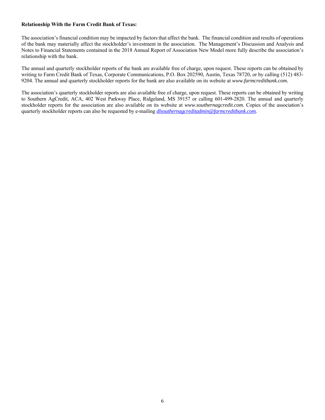#### **Relationship With the Farm Credit Bank of Texas:**

The association's financial condition may be impacted by factors that affect the bank. The financial condition and results of operations of the bank may materially affect the stockholder's investment in the association. The Management's Discussion and Analysis and Notes to Financial Statements contained in the 2018 Annual Report of Association New Model more fully describe the association's relationship with the bank.

The annual and quarterly stockholder reports of the bank are available free of charge, upon request. These reports can be obtained by writing to Farm Credit Bank of Texas, Corporate Communications, P.O. Box 202590, Austin, Texas 78720, or by calling (512) 483- 9204. The annual and quarterly stockholder reports for the bank are also available on its website at *www.farmcreditbank.com.* 

The association's quarterly stockholder reports are also available free of charge, upon request. These reports can be obtained by writing to Southern AgCredit, ACA, 402 West Parkway Place, Ridgeland, MS 39157 or calling 601-499-2820. The annual and quarterly stockholder reports for the association are also available on its website at *www.southernagcredit.com.* Copies of the association's quarterly stockholder reports can also be requested by e-mailing *dlsouthernagcreditadmin@farmcreditbank.com.*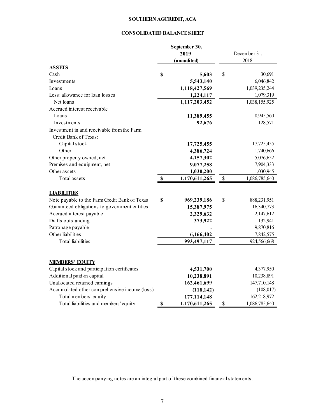# **SOUTHERN AGCREDIT, ACA**

# **CONSOLIDATED BALANCE SHEET**

| 2019<br>December 31,<br>2018<br>(unaudited)<br><b>ASSETS</b><br>\$<br>Cash<br>S<br>5,603<br>30,691<br>6,046,842<br>Investments<br>5,543,140<br>1,039,235,244<br>1,118,427,569<br>Loans<br>Less: allowance for loan losses<br>1,079,319<br>1,224,117<br>Net loans<br>1,038,155,925<br>1,117,203,452<br>Accrued interest receivable<br>Loans<br>8,945,560<br>11,389,455<br>92,676<br>Investments<br>128,571<br>Investment in and receivable from the Farm<br>Credit Bank of Texas:<br>Capital stock<br>17,725,455<br>17,725,455<br>Other<br>4,386,724<br>1,740,666<br>Other property owned, net<br>5,076,652<br>4,157,302<br>Premises and equipment, net<br>9,077,258<br>7,904,333<br>Other assets<br>1,030,945<br>1,030,200<br>Total assets<br>\$<br>1,170,611,265<br>\$<br>1,086,785,640<br><b>LIABILITIES</b><br>Note payable to the Farm Credit Bank of Texas<br>\$<br>\$<br>888,231,951<br>969,239,186<br>Guaranteed obligations to government entities<br>15,387,975<br>16,340,773<br>Accrued interest payable<br>2,329,632<br>2,147,612<br>Drafts outstanding<br>373,922<br>132,941<br>Patronage payable<br>9,870,816<br>Other liabilities<br>6,166,402<br>7,842,575<br><b>Total</b> liabilities<br>993,497,117<br>924,566,668<br><b>MEMBERS' EQUITY</b><br>Capital stock and participation certificates<br>4,377,950<br>4,531,700<br>Additional paid-in capital<br>10,238,891<br>10,238,891<br>Unallocated retained earnings<br>162,461,699<br>147,710,148<br>Accumulated other comprehensive income (loss)<br>(108, 017)<br>(118, 142)<br>162,218,972<br>Total members' equity<br>177,114,148<br>\$<br>Total liabilities and members' equity<br>$\mathbf S$<br>1,170,611,265<br>1,086,785,640 |  | September 30, |  |  |  |
|------------------------------------------------------------------------------------------------------------------------------------------------------------------------------------------------------------------------------------------------------------------------------------------------------------------------------------------------------------------------------------------------------------------------------------------------------------------------------------------------------------------------------------------------------------------------------------------------------------------------------------------------------------------------------------------------------------------------------------------------------------------------------------------------------------------------------------------------------------------------------------------------------------------------------------------------------------------------------------------------------------------------------------------------------------------------------------------------------------------------------------------------------------------------------------------------------------------------------------------------------------------------------------------------------------------------------------------------------------------------------------------------------------------------------------------------------------------------------------------------------------------------------------------------------------------------------------------------------------------------------------------------------------------------------------------------------|--|---------------|--|--|--|
|                                                                                                                                                                                                                                                                                                                                                                                                                                                                                                                                                                                                                                                                                                                                                                                                                                                                                                                                                                                                                                                                                                                                                                                                                                                                                                                                                                                                                                                                                                                                                                                                                                                                                                      |  |               |  |  |  |
|                                                                                                                                                                                                                                                                                                                                                                                                                                                                                                                                                                                                                                                                                                                                                                                                                                                                                                                                                                                                                                                                                                                                                                                                                                                                                                                                                                                                                                                                                                                                                                                                                                                                                                      |  |               |  |  |  |
|                                                                                                                                                                                                                                                                                                                                                                                                                                                                                                                                                                                                                                                                                                                                                                                                                                                                                                                                                                                                                                                                                                                                                                                                                                                                                                                                                                                                                                                                                                                                                                                                                                                                                                      |  |               |  |  |  |
|                                                                                                                                                                                                                                                                                                                                                                                                                                                                                                                                                                                                                                                                                                                                                                                                                                                                                                                                                                                                                                                                                                                                                                                                                                                                                                                                                                                                                                                                                                                                                                                                                                                                                                      |  |               |  |  |  |
|                                                                                                                                                                                                                                                                                                                                                                                                                                                                                                                                                                                                                                                                                                                                                                                                                                                                                                                                                                                                                                                                                                                                                                                                                                                                                                                                                                                                                                                                                                                                                                                                                                                                                                      |  |               |  |  |  |
|                                                                                                                                                                                                                                                                                                                                                                                                                                                                                                                                                                                                                                                                                                                                                                                                                                                                                                                                                                                                                                                                                                                                                                                                                                                                                                                                                                                                                                                                                                                                                                                                                                                                                                      |  |               |  |  |  |
|                                                                                                                                                                                                                                                                                                                                                                                                                                                                                                                                                                                                                                                                                                                                                                                                                                                                                                                                                                                                                                                                                                                                                                                                                                                                                                                                                                                                                                                                                                                                                                                                                                                                                                      |  |               |  |  |  |
|                                                                                                                                                                                                                                                                                                                                                                                                                                                                                                                                                                                                                                                                                                                                                                                                                                                                                                                                                                                                                                                                                                                                                                                                                                                                                                                                                                                                                                                                                                                                                                                                                                                                                                      |  |               |  |  |  |
|                                                                                                                                                                                                                                                                                                                                                                                                                                                                                                                                                                                                                                                                                                                                                                                                                                                                                                                                                                                                                                                                                                                                                                                                                                                                                                                                                                                                                                                                                                                                                                                                                                                                                                      |  |               |  |  |  |
|                                                                                                                                                                                                                                                                                                                                                                                                                                                                                                                                                                                                                                                                                                                                                                                                                                                                                                                                                                                                                                                                                                                                                                                                                                                                                                                                                                                                                                                                                                                                                                                                                                                                                                      |  |               |  |  |  |
|                                                                                                                                                                                                                                                                                                                                                                                                                                                                                                                                                                                                                                                                                                                                                                                                                                                                                                                                                                                                                                                                                                                                                                                                                                                                                                                                                                                                                                                                                                                                                                                                                                                                                                      |  |               |  |  |  |
|                                                                                                                                                                                                                                                                                                                                                                                                                                                                                                                                                                                                                                                                                                                                                                                                                                                                                                                                                                                                                                                                                                                                                                                                                                                                                                                                                                                                                                                                                                                                                                                                                                                                                                      |  |               |  |  |  |
|                                                                                                                                                                                                                                                                                                                                                                                                                                                                                                                                                                                                                                                                                                                                                                                                                                                                                                                                                                                                                                                                                                                                                                                                                                                                                                                                                                                                                                                                                                                                                                                                                                                                                                      |  |               |  |  |  |
|                                                                                                                                                                                                                                                                                                                                                                                                                                                                                                                                                                                                                                                                                                                                                                                                                                                                                                                                                                                                                                                                                                                                                                                                                                                                                                                                                                                                                                                                                                                                                                                                                                                                                                      |  |               |  |  |  |
|                                                                                                                                                                                                                                                                                                                                                                                                                                                                                                                                                                                                                                                                                                                                                                                                                                                                                                                                                                                                                                                                                                                                                                                                                                                                                                                                                                                                                                                                                                                                                                                                                                                                                                      |  |               |  |  |  |
|                                                                                                                                                                                                                                                                                                                                                                                                                                                                                                                                                                                                                                                                                                                                                                                                                                                                                                                                                                                                                                                                                                                                                                                                                                                                                                                                                                                                                                                                                                                                                                                                                                                                                                      |  |               |  |  |  |
|                                                                                                                                                                                                                                                                                                                                                                                                                                                                                                                                                                                                                                                                                                                                                                                                                                                                                                                                                                                                                                                                                                                                                                                                                                                                                                                                                                                                                                                                                                                                                                                                                                                                                                      |  |               |  |  |  |
|                                                                                                                                                                                                                                                                                                                                                                                                                                                                                                                                                                                                                                                                                                                                                                                                                                                                                                                                                                                                                                                                                                                                                                                                                                                                                                                                                                                                                                                                                                                                                                                                                                                                                                      |  |               |  |  |  |
|                                                                                                                                                                                                                                                                                                                                                                                                                                                                                                                                                                                                                                                                                                                                                                                                                                                                                                                                                                                                                                                                                                                                                                                                                                                                                                                                                                                                                                                                                                                                                                                                                                                                                                      |  |               |  |  |  |
|                                                                                                                                                                                                                                                                                                                                                                                                                                                                                                                                                                                                                                                                                                                                                                                                                                                                                                                                                                                                                                                                                                                                                                                                                                                                                                                                                                                                                                                                                                                                                                                                                                                                                                      |  |               |  |  |  |
|                                                                                                                                                                                                                                                                                                                                                                                                                                                                                                                                                                                                                                                                                                                                                                                                                                                                                                                                                                                                                                                                                                                                                                                                                                                                                                                                                                                                                                                                                                                                                                                                                                                                                                      |  |               |  |  |  |
|                                                                                                                                                                                                                                                                                                                                                                                                                                                                                                                                                                                                                                                                                                                                                                                                                                                                                                                                                                                                                                                                                                                                                                                                                                                                                                                                                                                                                                                                                                                                                                                                                                                                                                      |  |               |  |  |  |
|                                                                                                                                                                                                                                                                                                                                                                                                                                                                                                                                                                                                                                                                                                                                                                                                                                                                                                                                                                                                                                                                                                                                                                                                                                                                                                                                                                                                                                                                                                                                                                                                                                                                                                      |  |               |  |  |  |
|                                                                                                                                                                                                                                                                                                                                                                                                                                                                                                                                                                                                                                                                                                                                                                                                                                                                                                                                                                                                                                                                                                                                                                                                                                                                                                                                                                                                                                                                                                                                                                                                                                                                                                      |  |               |  |  |  |
|                                                                                                                                                                                                                                                                                                                                                                                                                                                                                                                                                                                                                                                                                                                                                                                                                                                                                                                                                                                                                                                                                                                                                                                                                                                                                                                                                                                                                                                                                                                                                                                                                                                                                                      |  |               |  |  |  |
|                                                                                                                                                                                                                                                                                                                                                                                                                                                                                                                                                                                                                                                                                                                                                                                                                                                                                                                                                                                                                                                                                                                                                                                                                                                                                                                                                                                                                                                                                                                                                                                                                                                                                                      |  |               |  |  |  |
|                                                                                                                                                                                                                                                                                                                                                                                                                                                                                                                                                                                                                                                                                                                                                                                                                                                                                                                                                                                                                                                                                                                                                                                                                                                                                                                                                                                                                                                                                                                                                                                                                                                                                                      |  |               |  |  |  |
|                                                                                                                                                                                                                                                                                                                                                                                                                                                                                                                                                                                                                                                                                                                                                                                                                                                                                                                                                                                                                                                                                                                                                                                                                                                                                                                                                                                                                                                                                                                                                                                                                                                                                                      |  |               |  |  |  |
|                                                                                                                                                                                                                                                                                                                                                                                                                                                                                                                                                                                                                                                                                                                                                                                                                                                                                                                                                                                                                                                                                                                                                                                                                                                                                                                                                                                                                                                                                                                                                                                                                                                                                                      |  |               |  |  |  |
|                                                                                                                                                                                                                                                                                                                                                                                                                                                                                                                                                                                                                                                                                                                                                                                                                                                                                                                                                                                                                                                                                                                                                                                                                                                                                                                                                                                                                                                                                                                                                                                                                                                                                                      |  |               |  |  |  |
|                                                                                                                                                                                                                                                                                                                                                                                                                                                                                                                                                                                                                                                                                                                                                                                                                                                                                                                                                                                                                                                                                                                                                                                                                                                                                                                                                                                                                                                                                                                                                                                                                                                                                                      |  |               |  |  |  |
|                                                                                                                                                                                                                                                                                                                                                                                                                                                                                                                                                                                                                                                                                                                                                                                                                                                                                                                                                                                                                                                                                                                                                                                                                                                                                                                                                                                                                                                                                                                                                                                                                                                                                                      |  |               |  |  |  |
|                                                                                                                                                                                                                                                                                                                                                                                                                                                                                                                                                                                                                                                                                                                                                                                                                                                                                                                                                                                                                                                                                                                                                                                                                                                                                                                                                                                                                                                                                                                                                                                                                                                                                                      |  |               |  |  |  |
|                                                                                                                                                                                                                                                                                                                                                                                                                                                                                                                                                                                                                                                                                                                                                                                                                                                                                                                                                                                                                                                                                                                                                                                                                                                                                                                                                                                                                                                                                                                                                                                                                                                                                                      |  |               |  |  |  |
|                                                                                                                                                                                                                                                                                                                                                                                                                                                                                                                                                                                                                                                                                                                                                                                                                                                                                                                                                                                                                                                                                                                                                                                                                                                                                                                                                                                                                                                                                                                                                                                                                                                                                                      |  |               |  |  |  |
|                                                                                                                                                                                                                                                                                                                                                                                                                                                                                                                                                                                                                                                                                                                                                                                                                                                                                                                                                                                                                                                                                                                                                                                                                                                                                                                                                                                                                                                                                                                                                                                                                                                                                                      |  |               |  |  |  |
|                                                                                                                                                                                                                                                                                                                                                                                                                                                                                                                                                                                                                                                                                                                                                                                                                                                                                                                                                                                                                                                                                                                                                                                                                                                                                                                                                                                                                                                                                                                                                                                                                                                                                                      |  |               |  |  |  |

The accompanying notes are an integral part of these combined financial statements.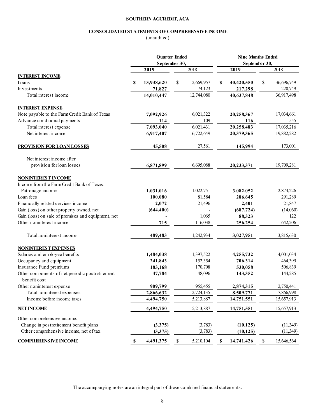# **SOUTHERN AGCREDIT, ACA**

# **CONSOLIDATED STATEMENTS OF COMPREHENSIVE INCOME**

(unaudited)

|                                                                 | <b>Quarter Ended</b><br>September 30, |            |    | <b>Nine Months Ended</b><br>September 30, |                   |            |    |            |
|-----------------------------------------------------------------|---------------------------------------|------------|----|-------------------------------------------|-------------------|------------|----|------------|
|                                                                 |                                       |            |    |                                           |                   |            |    |            |
|                                                                 |                                       | 2019       |    | 2018                                      |                   | 2019       |    | 2018       |
| <b>INTEREST INCOME</b>                                          |                                       |            |    |                                           |                   |            |    |            |
| Loans                                                           | S                                     | 13,938,620 | \$ | 12,669,957                                | \$                | 40,420,550 | \$ | 36,696,749 |
| Investments                                                     |                                       | 71,827     |    | 74,123                                    |                   | 217,298    |    | 220,749    |
| Total interest income                                           |                                       | 14,010,447 |    | 12,744,080                                |                   | 40,637,848 |    | 36,917,498 |
| <b>INTEREST EXPENSE</b>                                         |                                       |            |    |                                           |                   |            |    |            |
| Note payable to the Farm Credit Bank of Texas                   |                                       | 7,092,926  |    | 6,021,322                                 |                   | 20,258,367 |    | 17,034,661 |
| Advance conditional payments                                    |                                       | 114        |    | 109                                       |                   | 116        |    | 555        |
| Total interest expense                                          |                                       | 7,093,040  |    | 6,021,431                                 |                   | 20,258,483 |    | 17,035,216 |
| Net interest income                                             |                                       | 6,917,407  |    | 6,722,649                                 |                   | 20,379,365 |    | 19,882,282 |
| <b>PROVISION FOR LOAN LOSSES</b>                                |                                       | 45,508     |    | 27,561                                    |                   | 145,994    |    | 173,001    |
| Net interest income after                                       |                                       |            |    |                                           |                   |            |    |            |
| provision for loan losses                                       |                                       | 6,871,899  |    | 6,695,088                                 |                   | 20,233,371 |    | 19,709,281 |
| <b>NONINTEREST INCOME</b>                                       |                                       |            |    |                                           |                   |            |    |            |
| Income from the Farm Credit Bank of Texas:                      |                                       |            |    |                                           |                   |            |    |            |
| Patronage income                                                |                                       | 1,031,016  |    | 1,022,751                                 |                   | 3,082,052  |    | 2,874,226  |
| Loan fees                                                       |                                       | 100,080    |    | 81,584                                    |                   | 286,645    |    | 291,289    |
| Financially related services income                             |                                       | 2,072      |    | 21,496                                    |                   | 2,401      |    | 21,847     |
| Gain (loss) on other property owned, net                        |                                       | (644, 400) |    |                                           |                   | (687, 724) |    | (14,060)   |
| Gain (loss) on sale of premises and equipment, net              |                                       |            |    | 1,065                                     |                   | 88,323     |    | 122        |
| Other noninterest income                                        |                                       | 715        |    | 116,038                                   |                   | 256,254    |    | 642,206    |
| Total noninterest income                                        |                                       | 489,483    |    | 1,242,934                                 |                   | 3,027,951  |    | 3,815,630  |
| <b>NONINTEREST EXPENSES</b>                                     |                                       |            |    |                                           |                   |            |    |            |
| Salaries and employee benefits                                  |                                       | 1,484,038  |    | 1,397,522                                 |                   | 4,255,732  |    | 4,001,034  |
| Occupancy and equipment                                         |                                       | 241,843    |    | 152,354                                   |                   | 706,314    |    | 464,399    |
| Insurance Fund premiums                                         |                                       | 183,168    |    | 170,708                                   |                   | 530,058    |    | 506,839    |
| Other components of net periodic postretirement<br>benefit cost |                                       | 47,784     |    | 48,096                                    |                   | 143,352    |    | 144,285    |
| Other noninterest expense                                       |                                       | 909,799    |    | 955,455                                   |                   | 2,874,315  |    | 2,750,441  |
| Total noninterest expenses                                      |                                       | 2,866,632  |    | 2,724,135                                 |                   | 8,509,771  |    | 7,866,998  |
| Income before income taxes                                      |                                       | 4,494,750  |    | 5,213,887                                 |                   | 14,751,551 |    | 15,657,913 |
| <b>NET INCOME</b>                                               |                                       | 4,494,750  |    | 5,213,887                                 |                   | 14,751,551 |    | 15,657,913 |
| Other comprehensive income:                                     |                                       |            |    |                                           |                   |            |    |            |
| Change in postretirement benefit plans                          |                                       | (3,375)    |    | (3,783)                                   |                   | (10, 125)  |    | (11,349)   |
| Other comprehensive income, net of tax                          |                                       | (3,375)    |    | (3,783)                                   |                   | (10, 125)  |    | (11,349)   |
| <b>COMPREHENSIVE INCOME</b>                                     | \$                                    | 4,491,375  | \$ | 5,210,104                                 | $\boldsymbol{\$}$ | 14,741,426 | \$ | 15,646,564 |

The accompanying notes are an integral part of these combined financial statements.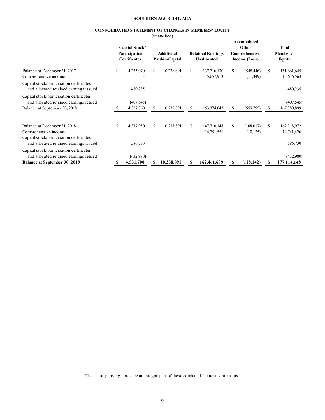#### **SOUTHERN AGCREDIT, ACA**

# **CONSOLIDATED STATEMENT OF CHANGES IN MEMBERS' EQUITY**

(unaudited)

|                                                                                                                      |    | Capital Stock/<br>Participation<br><b>Certificates</b> |     | Additional<br>Paid-in-Capital |     | <b>Retained Earnings</b><br><b>Unallocated</b> | Accumulated<br>Other<br>Comprehensive<br>Income (Loss) |     | <b>Total</b><br>Members'<br><b>Equity</b> |
|----------------------------------------------------------------------------------------------------------------------|----|--------------------------------------------------------|-----|-------------------------------|-----|------------------------------------------------|--------------------------------------------------------|-----|-------------------------------------------|
| Balance at December 31, 2017<br>Comprehensive income                                                                 | S  | 4,255,070                                              | \$. | 10,238,891                    | \$  | 137,716,130<br>15,657,913                      | \$<br>(548, 446)<br>(11,349)                           | \$. | 151,661,645<br>15,646,564                 |
| Capital stock/participation certificates<br>and allocated retained earnings issued                                   |    | 480,235                                                |     |                               |     |                                                |                                                        |     | 480,235                                   |
| Capital stock/participation certificates<br>and allocated retained earnings retired<br>Balance at September 30, 2018 |    | (407, 545)<br>4,327,760                                |     | 10,238,891                    |     | 153,374,043                                    | \$<br>(559, 795)                                       |     | (407, 545)<br>167,380,899                 |
|                                                                                                                      |    |                                                        |     |                               |     |                                                |                                                        |     |                                           |
| Balance at December 31, 2018<br>Comprehensive income<br>Capital stock/participation certificates                     | \$ | 4,377,950                                              | \$. | 10,238,891                    | \$. | 147,710,148<br>14,751,551                      | \$<br>(108, 017)<br>(10, 125)                          | \$  | 162,218,972<br>14,741,426                 |
| and allocated retained earnings issued<br>Capital stock/participation certificates                                   |    | 586,730                                                |     |                               |     |                                                |                                                        |     | 586,730                                   |
| and allocated retained earnings retired                                                                              |    | (432,980)                                              |     |                               |     |                                                |                                                        |     | (432,980)                                 |
| <b>Balance at September 30, 2019</b>                                                                                 | S  | 4,531,700                                              | S   | 10,238,891                    | S   | 162,461,699                                    | \$<br>(118, 142)                                       | S   | 177,114,148                               |

The accompanying notes are an integral part of these combined financial statements.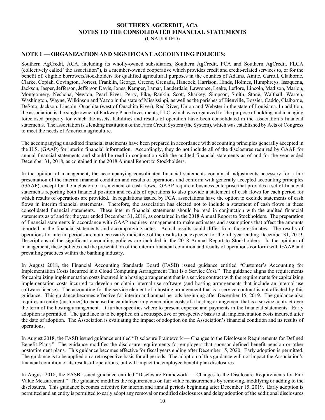# **SOUTHERN AGCREDIT, ACA NOTES TO THE CONSOLIDATED FINANCIAL STATEMENTS**

(UNAUDITED)

# **NOTE 1 — ORGANIZATION AND SIGNIFICANT ACCOUNTING POLICIES:**

Southern AgCredit, ACA, including its wholly-owned subsidiaries, Southern AgCredit, PCA and Southern AgCredit, FLCA (collectively called "the association"), is a member-owned cooperative which provides credit and credit-related services to, or for the benefit of, eligible borrowers/stockholders for qualified agricultural purposes in the counties of Adams, Amite, Carroll, Claiborne, Clarke, Copiah, Covington, Forrest, Franklin, George, Greene, Grenada, Hancock, Harrison, Hinds, Holmes, Humphreys, Issaquena, Jackson, Jasper, Jefferson, Jefferson Davis, Jones, Kemper, Lamar, Lauderdale, Lawrence, Leake, Leflore, Lincoln, Madison, Marion, Montgomery, Neshoba, Newton, Pearl River, Perry, Pike, Rankin, Scott, Sharkey, Simpson, Smith, Stone, Walthall, Warren, Washington, Wayne, Wilkinson and Yazoo in the state of Mississippi, as well as the parishes of Bienville, Bossier, Caddo, Claiborne, DeSoto, Jackson, Lincoln, Ouachita (west of Ouachita River), Red River, Union and Webster in the state of Louisiana. In addition, the association is the single owner of Parkway Place Investments, LLC, which was organized for the purpose of holding and managing foreclosed property for which the assets, liabilities and results of operation have been consolidated in the association's financial statements. The association is a lending institution of the Farm Credit System (the System), which was established by Acts of Congress to meet the needs of American agriculture.

The accompanying unaudited financial statements have been prepared in accordance with accounting principles generally accepted in the U.S. (GAAP) for interim financial information. Accordingly, they do not include all of the disclosures required by GAAP for annual financial statements and should be read in conjunction with the audited financial statements as of and for the year ended December 31, 2018, as contained in the 2018 Annual Report to Stockholders.

In the opinion of management, the accompanying consolidated financial statements contain all adjustments necessary for a fair presentation of the interim financial condition and results of operations and conform with generally accepted accounting principles (GAAP), except for the inclusion of a statement of cash flows. GAAP require a business enterprise that provides a set of financial statements reporting both financial position and results of operations to also provide a statement of cash flows for each period for which results of operations are provided. In regulations issued by FCA, associations have the option to exclude statements of cash flows in interim financial statements. Therefore, the association has elected not to include a statement of cash flows in these consolidated financial statements. These interim financial statements should be read in conjunction with the audited financial statements as of and for the year ended December 31, 2018, as contained in the 2018 Annual Report to Stockholders. The preparation of financial statements in accordance with GAAP requires management to make estimates and assumptions that affect the amounts reported in the financial statements and accompanying notes. Actual results could differ from those estimates. The results of operations for interim periods are not necessarily indicative of the results to be expected for the full year ending December 31, 2019. Descriptions of the significant accounting policies are included in the 2018 Annual Report to Stockholders. In the opinion of management, these policies and the presentation of the interim financial condition and results of operations conform with GAAP and prevailing practices within the banking industry.

In August 2018, the Financial Accounting Standards Board (FASB) issued guidance entitled "Customer's Accounting for Implementation Costs Incurred in a Cloud Computing Arrangement That Is a Service Cost." The guidance aligns the requirements for capitalizing implementation costs incurred in a hosting arrangement that is a service contract with the requirements for capitalizing implementation costs incurred to develop or obtain internal-use software (and hosting arrangements that include an internal-use software license). The accounting for the service element of a hosting arrangement that is a service contract is not affected by this guidance. This guidance becomes effective for interim and annual periods beginning after December 15, 2019. The guidance also requires an entity (customer) to expense the capitalized implementation costs of a hosting arrangement that is a service contract over the term of the hosting arrangement. It further specifies where to present expense and payments in the financial statements. Early adoption is permitted. The guidance is to be applied on a retrospective or prospective basis to all implementation costs incurred after the date of adoption. The Association is evaluating the impact of adoption on the Association's financial condition and its results of operations.

In August 2018, the FASB issued guidance entitled "Disclosure Framework — Changes to the Disclosure Requirements for Defined Benefit Plans." The guidance modifies the disclosure requirements for employers that sponsor defined benefit pension or other postretirement plans. This guidance becomes effective for fiscal years ending after December 15, 2020. Early adoption is permitted. The guidance is to be applied on a retrospective basis for all periods. The adoption of this guidance will not impact the Association's financial condition or its results of operations, but will impact the employee benefit plan disclosures.

In August 2018, the FASB issued guidance entitled "Disclosure Framework — Changes to the Disclosure Requirements for Fair Value Measurement." The guidance modifies the requirements on fair value measurements by removing, modifying or adding to the disclosures. This guidance becomes effective for interim and annual periods beginning after December 15, 2019. Early adoption is permitted and an entity is permitted to early adopt any removal or modified disclosures and delay adoption of the additional disclosures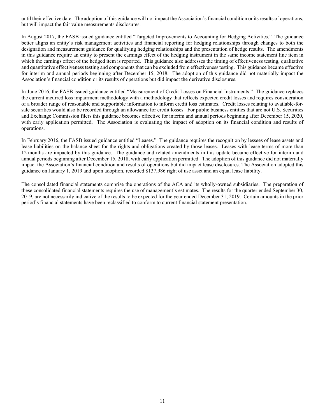until their effective date. The adoption of this guidance will not impact the Association's financial condition or its results of operations, but will impact the fair value measurements disclosures.

In August 2017, the FASB issued guidance entitled "Targeted Improvements to Accounting for Hedging Activities." The guidance better aligns an entity's risk management activities and financial reporting for hedging relationships through changes to both the designation and measurement guidance for qualifying hedging relationships and the presentation of hedge results. The amendments in this guidance require an entity to present the earnings effect of the hedging instrument in the same income statement line item in which the earnings effect of the hedged item is reported. This guidance also addresses the timing of effectiveness testing, qualitative and quantitative effectiveness testing and components that can be excluded from effectiveness testing. This guidance became effective for interim and annual periods beginning after December 15, 2018. The adoption of this guidance did not materially impact the Association's financial condition or its results of operations but did impact the derivative disclosures.

In June 2016, the FASB issued guidance entitled "Measurement of Credit Losses on Financial Instruments." The guidance replaces the current incurred loss impairment methodology with a methodology that reflects expected credit losses and requires consideration of a broader range of reasonable and supportable information to inform credit loss estimates. Credit losses relating to available-forsale securities would also be recorded through an allowance for credit losses. For public business entities that are not U.S. Securities and Exchange Commission filers this guidance becomes effective for interim and annual periods beginning after December 15, 2020, with early application permitted. The Association is evaluating the impact of adoption on its financial condition and results of operations.

In February 2016, the FASB issued guidance entitled "Leases." The guidance requires the recognition by lessees of lease assets and lease liabilities on the balance sheet for the rights and obligations created by those leases. Leases with lease terms of more than 12 months are impacted by this guidance. The guidance and related amendments in this update became effective for interim and annual periods beginning after December 15, 2018, with early application permitted. The adoption of this guidance did not materially impact the Association's financial condition and results of operations but did impact lease disclosures. The Association adopted this guidance on January 1, 2019 and upon adoption, recorded \$137,986 right of use asset and an equal lease liability.

The consolidated financial statements comprise the operations of the ACA and its wholly-owned subsidiaries. The preparation of these consolidated financial statements requires the use of management's estimates. The results for the quarter ended September 30, 2019, are not necessarily indicative of the results to be expected for the year ended December 31, 2019. Certain amounts in the prior period's financial statements have been reclassified to conform to current financial statement presentation.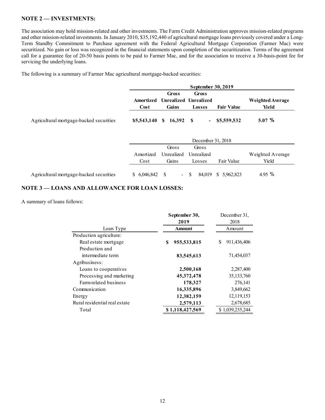# **NOTE 2 — INVESTMENTS:**

The association may hold mission-related and other investments. The Farm Credit Administration approves mission-related programs and other mission-related investments. In January 2010, \$35,192,440 of agricultural mortgage loans previously covered under a Long-Term Standby Commitment to Purchase agreement with the Federal Agricultural Mortgage Corporation (Farmer Mac) were securitized. No gain or loss was recognized in the financial statements upon completion of the securitization. Terms of the agreement call for a guarantee fee of 20-50 basis points to be paid to Farmer Mac, and for the association to receive a 30-basis-point fee for servicing the underlying loans.

The following is a summary of Farmer Mac agricultural mortgage-backed securities:

|                                         |                   |                       | September 30, 2019                       |                   |                                  |
|-----------------------------------------|-------------------|-----------------------|------------------------------------------|-------------------|----------------------------------|
|                                         | Amortized<br>Cost | <b>Gross</b><br>Gains | Gross<br>Unrealized Unrealized<br>Losses | <b>Fair Value</b> | Weighted Average<br><b>Yield</b> |
| Agricultural mortgage-backed securities | \$5,543,140       | 16,392<br>S.          | - \$<br>$\blacksquare$                   | \$5,559,532       | 5.07%                            |
|                                         |                   |                       | December 31, 2018                        |                   |                                  |
|                                         |                   | Gross                 | Gross                                    |                   |                                  |
|                                         | Amortized         | Unrealized            | Unrealized                               |                   | Weighted Average                 |
|                                         | Cost              | Gains                 | Losses                                   | Fair Value        | Yield                            |
| Agricultural mortgage-backed securities | \$6,046,842       | \$<br>$\blacksquare$  | \$<br>84,019                             | 5.962.823<br>S.   | 4.95 %                           |

# **NOTE 3 — LOANS AND ALLOWANCE FOR LOAN LOSSES:**

A summary of loans follows:

|                               | September 30,     | December 31,      |  |  |
|-------------------------------|-------------------|-------------------|--|--|
|                               | 2019              | 2018              |  |  |
| Loan Type                     | <b>Amount</b>     | Amount            |  |  |
| Production agriculture:       |                   |                   |  |  |
| Real estate mortgage          | \$<br>955,533,815 | 911,436,406<br>\$ |  |  |
| Production and                |                   |                   |  |  |
| intermediate term             | 83,545,613        | 71,454,037        |  |  |
| Agribusiness:                 |                   |                   |  |  |
| Loans to cooperatives         | 2,500,168         | 2,287,400         |  |  |
| Processing and marketing      | 45, 372, 478      | 35, 133, 760      |  |  |
| Farm-related business         | 178,327           | 276,141           |  |  |
| Communication                 | 16,335,896        | 3,849,662         |  |  |
| Energy                        | 12,382,159        | 12,119,153        |  |  |
| Rural residential real estate | 2,579,113         | 2,678,685         |  |  |
| Total                         | \$1,118,427,569   | \$1,039,235,244   |  |  |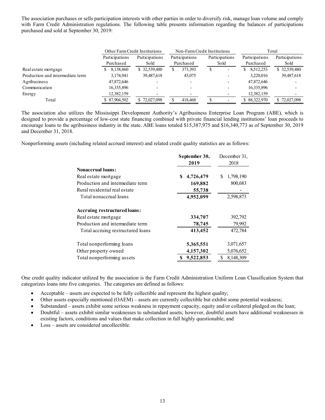The association purchases or sells participation interests with other parties in order to diversify risk, manage loan volume and comply with Farm Credit Administration regulations. The following table presents information regarding the balances of participations purchased and sold at September 30, 2019:

|                                  | Other Farm Credit Institutions |                |                | Non-Farm Credit Institutions | Total          |                |
|----------------------------------|--------------------------------|----------------|----------------|------------------------------|----------------|----------------|
|                                  | Participations                 | Participations | Participations | Participations               | Participations | Participations |
|                                  | Purchased                      | Sold           | Purchased      | Sold                         | Purchased      | Sold           |
| Real estate mortgage             | 8,138,860                      | \$32,539,480   | 373,393<br>S   |                              | 8,512,253      | \$32,539,480   |
| Production and intermediate term | 3,174,941                      | 39,487,618     | 45,075         |                              | 3,220,016      | 39,487,618     |
| Agribusiness                     | 47,872,646                     |                |                |                              | 47,872,646     |                |
| Communication                    | 16,335,896                     |                |                |                              | 16,335,896     |                |
| Energy                           | 12,382,159                     |                |                |                              | 12,382,159     |                |
| Total                            | \$87,904,502                   | \$72,027,098   | 418,468        |                              | \$ 88,322,970  | \$72,027,098   |

The association also utilizes the Mississippi Development Authority's Agribusiness Enterprise Loan Program (ABE), which is designed to provide a percentage of low-cost state financing combined with private financial lending institutions' loan proceeds to encourage loans to the agribusiness industry in the state. ABE loans totaled \$15,387,975 and \$16,340,773 as of September 30, 2019 and December 31, 2018.

Nonperforming assets (including related accrued interest) and related credit quality statistics are as follows:

|                                   | September 30,   | December 31,    |
|-----------------------------------|-----------------|-----------------|
|                                   | 2019            | 2018            |
| <b>Nonaccrual loans:</b>          |                 |                 |
| Real estate mortgage              | 4,726,479<br>\$ | 1,798,190<br>\$ |
| Production and intermediate term  | 169,882         | 800,683         |
| Rural residential real estate     | 55,738          |                 |
| Total nonaccrual loans            | 4,952,099       | 2,598,873       |
| Accruing restructured loans:      |                 |                 |
| Real estate mortgage              | 334,707         | 392,792         |
| Production and intermediate term  | 78,745          | 79,992          |
| Total accruing restructured loans | 413,452         | 472,784         |
| Total nonperforming loans         | 5,365,551       | 3,071,657       |
| Other property owned              | 4,157,302       | 5,076,652       |
| Total nonperforming assets        | 9,522,853       | 8,148,309       |

One credit quality indicator utilized by the association is the Farm Credit Administration Uniform Loan Classification System that categorizes loans into five categories. The categories are defined as follows:

- Acceptable assets are expected to be fully collectible and represent the highest quality;
- Other assets especially mentioned (OAEM) assets are currently collectible but exhibit some potential weakness;
- Substandard assets exhibit some serious weakness in repayment capacity, equity and/or collateral pledged on the loan;
- Doubtful assets exhibit similar weaknesses to substandard assets; however, doubtful assets have additional weaknesses in existing factors, conditions and values that make collection in full highly questionable; and
- Loss assets are considered uncollectible.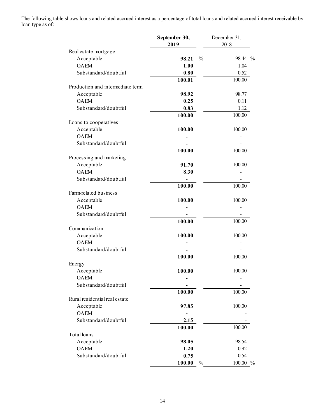The following table shows loans and related accrued interest as a percentage of total loans and related accrued interest receivable by loan type as of:

|                                  | September 30,           | December 31, |
|----------------------------------|-------------------------|--------------|
|                                  | 2019                    | 2018         |
| Real estate mortgage             |                         |              |
| Acceptable                       | $\frac{0}{0}$<br>98.21  | 98.44 %      |
| <b>OAEM</b>                      | 1.00                    | 1.04         |
| Substandard/doubtful             | 0.80                    | 0.52         |
|                                  | 100.01                  | 100.00       |
| Production and intermediate term |                         |              |
| Acceptable                       | 98.92                   | 98.77        |
| <b>OAEM</b>                      | 0.25                    | 0.11         |
| Substandard/doubtful             | 0.83                    | 1.12         |
|                                  | 100.00                  | 100.00       |
| Loans to cooperatives            |                         |              |
| Acceptable                       | 100.00                  | 100.00       |
| <b>OAEM</b>                      |                         |              |
| Substandard/doubtful             |                         |              |
|                                  | 100.00                  | 100.00       |
| Processing and marketing         |                         |              |
| Acceptable                       | 91.70                   | 100.00       |
| <b>OAEM</b>                      | 8.30                    |              |
| Substandard/doubtful             |                         |              |
|                                  | 100.00                  | 100.00       |
| Farm-related business            |                         |              |
| Acceptable                       | 100.00                  | 100.00       |
| <b>OAEM</b>                      |                         |              |
| Substandard/doubtful             |                         |              |
|                                  | 100.00                  | 100.00       |
| Communication                    |                         |              |
| Acceptable                       | 100.00                  | 100.00       |
| <b>OAEM</b>                      |                         |              |
| Substandard/doubtful             |                         |              |
|                                  | 100.00                  | 100.00       |
| Energy                           |                         |              |
| Acceptable                       | 100.00                  | 100.00       |
| <b>OAEM</b>                      |                         |              |
| Substandard/doubtful             |                         |              |
|                                  | 100.00                  | 100.00       |
| Rural residential real estate    |                         |              |
| Acceptable                       | 97.85                   | 100.00       |
| <b>OAEM</b>                      |                         |              |
| Substandard/doubtful             | 2.15                    |              |
|                                  |                         |              |
|                                  | 100.00                  | 100.00       |
| Total loans                      |                         |              |
| Acceptable                       | 98.05                   | 98.54        |
| <b>OAEM</b>                      | 1.20                    | 0.92         |
| Substandard/doubtful             | 0.75                    | 0.54         |
|                                  | $\frac{0}{0}$<br>100.00 | 100.00 %     |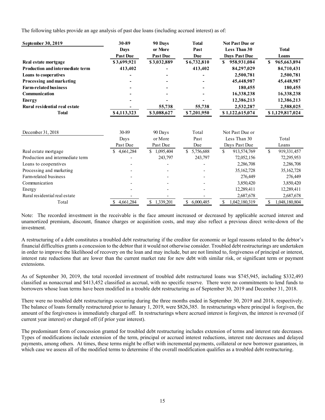The following tables provide an age analysis of past due loans (including accrued interest) as of:

| September 30, 2019               | 30-89           | 90 Days         | <b>Total</b>    | <b>Not Past Due or</b> |                     |
|----------------------------------|-----------------|-----------------|-----------------|------------------------|---------------------|
|                                  | <b>Days</b>     | or More         | Past            | Less Than 30           | <b>Total</b>        |
|                                  | <b>Past Due</b> | <b>Past Due</b> | <b>Due</b>      | <b>Days Past Due</b>   | Loans               |
| Real estate mortgage             | \$3,699,921     | \$3,032,889     | \$6,732,810     | \$<br>958,931,084      | 965,663,894<br>\$   |
| Production and intermediate term | 413,402         |                 | 413,402         | 84,297,029             | 84,710,431          |
| Loans to cooperatives            |                 |                 |                 | 2,500,781              | 2,500,781           |
| Processing and marketing         |                 |                 |                 | 45,448,987             | 45,448,987          |
| <b>Farm-related business</b>     |                 |                 |                 | 180,455                | 180,455             |
| Communication                    |                 |                 |                 | 16,338,238             | 16,338,238          |
| <b>Energy</b>                    |                 |                 |                 | 12,386,213             | 12,386,213          |
| Rural residential real estate    |                 | 55,738          | 55,738          | 2,532,287              | 2,588,025           |
| <b>Total</b>                     | \$4,113,323     | \$3,088,627     | \$7,201,950     | \$1,122,615,074        | \$1,129,817,024     |
|                                  |                 |                 |                 |                        |                     |
| December 31, 2018                | 30-89           | 90 Days         | Total           | Not Past Due or        |                     |
|                                  | Days            | or More         | Past            | Less Than 30           | Total               |
|                                  | Past Due        | Past Due        | Due             | Days Past Due          | Loans               |
| Real estate mortgage             | 4,661,284       | \$<br>1,095,404 | S<br>5,756,688  | \$<br>913,574,769      | \$<br>919,331,457   |
| Production and intermediate term |                 | 243,797         | 243,797         | 72,052,156             | 72,295,953          |
| Loans to cooperatives            |                 |                 |                 | 2,286,708              | 2,286,708           |
| Processing and marketing         |                 |                 |                 | 35, 162, 728           | 35,162,728          |
| Farm-related business            |                 |                 |                 | 276,449                | 276,449             |
| Communication                    |                 |                 |                 | 3,850,420              | 3,850,420           |
| Energy                           |                 |                 |                 | 12,289,411             | 12,289,411          |
| Rural residential real estate    |                 |                 |                 | 2,687,678              | 2,687,678           |
| Total                            | 4,661,284<br>\$ | \$1,339,201     | \$<br>6,000,485 | \$<br>1,042,180,319    | \$<br>1,048,180,804 |

Note: The recorded investment in the receivable is the face amount increased or decreased by applicable accrued interest and unamortized premium, discount, finance charges or acquisition costs, and may also reflect a previous direct write-down of the investment.

A restructuring of a debt constitutes a troubled debt restructuring if the creditor for economic or legal reasons related to the debtor's financial difficulties grants a concession to the debtor that it would not otherwise consider. Troubled debt restructurings are undertaken in order to improve the likelihood of recovery on the loan and may include, but are not limited to, forgiveness of principal or interest, interest rate reductions that are lower than the current market rate for new debt with similar risk, or significant term or payment extensions.

As of September 30, 2019, the total recorded investment of troubled debt restructured loans was \$745,945, including \$332,493 classified as nonaccrual and \$413,452 classified as accrual, with no specific reserve. There were no commitments to lend funds to borrowers whose loan terms have been modified in a trouble debt restructuring as of September 30, 2019 and December 31, 2018.

There were no troubled debt restructurings occurring during the three months ended in September 30, 2019 and 2018, respectively. The balance of loans formally restructured prior to January 1, 2019, were \$826,385. In restructurings where principal is forgiven, the amount of the forgiveness is immediately charged off. In restructurings where accrued interest is forgiven, the interest is reversed (if current year interest) or charged off (if prior year interest).

The predominant form of concession granted for troubled debt restructuring includes extension of terms and interest rate decreases. Types of modifications include extension of the term, principal or accrued interest reductions, interest rate decreases and delayed payments, among others. At times, these terms might be offset with incremental payments, collateral or new borrower guarantees, in which case we assess all of the modified terms to determine if the overall modification qualifies as a troubled debt restructuring.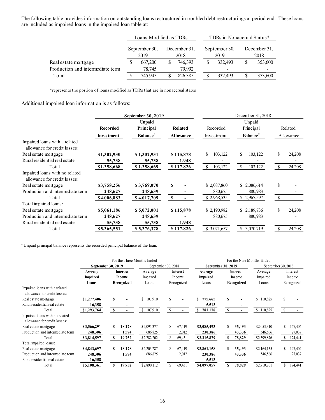The following table provides information on outstanding loans restructured in troubled debt restructurings at period end. These loans are included as impaired loans in the impaired loan table at:

|                                  | Loans Modified as TDRs |         |                      |         |                       | TDRs in Nonaccrual Status* |                      |         |  |  |
|----------------------------------|------------------------|---------|----------------------|---------|-----------------------|----------------------------|----------------------|---------|--|--|
|                                  | September 30,<br>2019  |         | December 31,<br>2018 |         | September 30,<br>2019 |                            | December 31,<br>2018 |         |  |  |
| Real estate mortgage             |                        | 667,200 |                      | 746,393 |                       | 332,493                    |                      | 353,600 |  |  |
| Production and intermediate term |                        | 78,745  |                      | 79.992  |                       |                            |                      |         |  |  |
| Total                            |                        | 745,945 |                      | 826,385 |                       | 332,493                    |                      | 353,600 |  |  |

\*represents the portion of loans modified as TDRs that are in nonaccrual status

Additional impaired loan information is as follows:

|                                                                |                   | September 30, 2019          |                  | December 31, 2018 |                      |               |           |  |  |
|----------------------------------------------------------------|-------------------|-----------------------------|------------------|-------------------|----------------------|---------------|-----------|--|--|
|                                                                |                   | Unpaid                      |                  | Unpaid            |                      |               |           |  |  |
|                                                                | <b>Recorded</b>   | Principal                   | <b>Related</b>   | Recorded          | Principal            |               | Related   |  |  |
|                                                                | <b>Investment</b> | <b>Balance</b> <sup>a</sup> | <b>Allowance</b> | Investment        | Balance <sup>a</sup> |               | Allowance |  |  |
| Impaired loans with a related<br>allowance for credit losses:  |                   |                             |                  |                   |                      |               |           |  |  |
| Real estate mortgage                                           | \$1,302,930       | \$1,302,931                 | \$115,878        | 103,122<br>\$     | \$<br>103,122        | \$            | 24,208    |  |  |
| Rural residential real estate                                  | 55,738            | 55,738                      | 1,948            |                   |                      |               |           |  |  |
| Total                                                          | \$1,358,668       | \$1,358,669                 | \$117,826        | \$<br>103,122     | \$<br>103,122        | \$            | 24,208    |  |  |
| Impaired loans with no related<br>allowance for credit losses: |                   |                             |                  |                   |                      |               |           |  |  |
| Real estate mortgage                                           | \$3,758,256       | \$3,769,070                 | $\mathbf{s}$     | \$2,087,860       | \$2,086,614          | \$            |           |  |  |
| Production and intermediate term                               | 248,627           | 248,639                     |                  | 880,675           | 880,983              |               |           |  |  |
| Total                                                          | \$4,006,883       | \$4,017,709                 | <b>S</b>         | \$2,968,535       | \$2,967,597          | \$            |           |  |  |
| Total impaired loans:                                          |                   |                             |                  |                   |                      |               |           |  |  |
| Real estate mortgage                                           | \$5,061,186       | \$5,072,001                 | \$115,878        | \$2,190,982       | \$2,189,736          | \$            | 24,208    |  |  |
| Production and intermediate term                               | 248,627           | 248,639                     |                  | 880,675           | 880,983              |               |           |  |  |
| Rural residential real estate                                  | 55,738            | 55,738                      | 1,948            |                   |                      |               |           |  |  |
| Total                                                          | \$5,365,551       | \$5,376,378                 | \$117,826        | \$ 3,071,657      | \$<br>3,070,719      | <sup>\$</sup> | 24,208    |  |  |

<sup>a</sup> Unpaid principal balance represents the recorded principal balance of the loan.

|                                                                |             |                    | For the Three Months Ended |             |                    |            | For the Nine Months Ended |   |                 |                         |    |            |
|----------------------------------------------------------------|-------------|--------------------|----------------------------|-------------|--------------------|------------|---------------------------|---|-----------------|-------------------------|----|------------|
|                                                                |             | September 30, 2019 |                            |             | September 30, 2018 |            | September 30, 2019        |   |                 | September 30, 2018      |    |            |
|                                                                | Average     | Interest           |                            | Average     |                    | Interest   | Average                   |   | <b>Interest</b> | Average                 |    | Interest   |
|                                                                | Impaired    | Income             |                            | Impaired    |                    | Income     | <b>Impaired</b>           |   | Income          | Impaired                |    | Income     |
|                                                                | Loans       | Recognized         |                            | Loans       |                    | Recognized | Loans                     |   | Recognized      | Loans                   |    | Recognized |
| Impaired loans with a related<br>allowance for credit losses:  |             |                    |                            |             |                    |            |                           |   |                 |                         |    |            |
| Real estate mortgage                                           | \$1,277,406 | s                  |                            | \$107,910   | \$                 |            | \$<br>775,665             | S |                 | \$<br>110,825           | \$ |            |
| Rural residential real estate                                  | 16,358      |                    |                            |             |                    |            | 5,513                     |   |                 |                         |    |            |
| Total                                                          | \$1,293,764 | S                  | S.                         | 107,910     | \$                 |            | 781,178<br>\$             | S |                 | $\mathbb{S}$<br>110,825 | S. |            |
| Impaired loans with no related<br>allowance for credit losses: |             |                    |                            |             |                    |            |                           |   |                 |                         |    |            |
| Real estate mortgage                                           | \$3,566,291 | S                  | 18,178                     | \$2,095,377 | S.                 | 67,419     | \$3,085,493               | S | 35,493          | \$2,053,310             | \$ | 147,404    |
| Production and intermediate term                               | 248,306     |                    | 1,574                      | 686,825     |                    | 2,012      | 230,386                   |   | 43,336          | 546,566                 |    | 27,037     |
| Total                                                          | \$3,814,597 | S                  | 19,752                     | \$2,782,202 | S                  | 69,431     | \$3,315,879               |   | 78,829          | \$2,599,876             |    | 174,441    |
| Total impaired loans:                                          |             |                    |                            |             |                    |            |                           |   |                 |                         |    |            |
| Real estate mortgage                                           | \$4,843,697 | S                  | 18,178                     | \$2,203,287 | \$                 | 67,419     | \$3,861,158               | S | 35,493          | \$2,164,135             | \$ | 147,404    |
| Production and intermediate term                               | 248,306     |                    | 1,574                      | 686,825     |                    | 2,012      | 230,386                   |   | 43,336          | 546,566                 |    | 27,037     |
| Rural residential real estate                                  | 16,358      |                    |                            |             |                    |            | 5,513                     |   |                 |                         |    |            |
| Total                                                          | \$5,108,361 |                    | 19,752                     | \$2,890,112 | \$                 | 69,431     | \$4,097,057               |   | 78,829          | \$2,710,701             |    | 174,441    |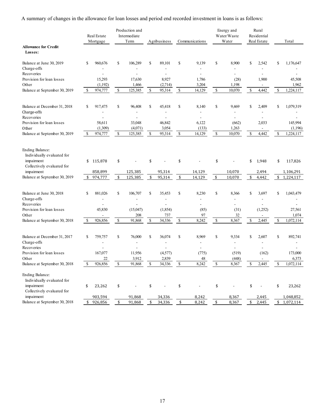A summary of changes in the allowance for loan losses and period end recorded investment in loans is as follows:

|                                                                                           |               | Real Estate<br>Mortgage |               | Production and<br>Intermediate<br>Term |                                   | Agribusiness |                                                                       | Communications          |              | Energy and<br>Water/Waste<br>Water |               | Rural<br>Residential<br>Real Estate | Total                           |
|-------------------------------------------------------------------------------------------|---------------|-------------------------|---------------|----------------------------------------|-----------------------------------|--------------|-----------------------------------------------------------------------|-------------------------|--------------|------------------------------------|---------------|-------------------------------------|---------------------------------|
| <b>Allowance for Credit</b><br>Losses:                                                    |               |                         |               |                                        |                                   |              |                                                                       |                         |              |                                    |               |                                     |                                 |
| Balance at June 30, 2019<br>Charge-offs                                                   | \$            | 960,676                 | \$            | 106,289                                | \$                                | 89,101       | \$                                                                    | 9,139<br>$\overline{a}$ | \$           | 8,900                              | \$            | 2,542                               | \$<br>1,176,647                 |
| Recoveries                                                                                |               |                         |               |                                        |                                   |              |                                                                       | $\overline{a}$          |              | $\overline{a}$                     |               |                                     |                                 |
| Provision for loan losses                                                                 |               | 15,293                  |               | 17,630                                 |                                   | 8,927        |                                                                       | 1,786                   |              | (28)                               |               | 1,900                               | 45,508                          |
| Other                                                                                     |               | (1,192)                 |               | 1,466                                  |                                   | (2,714)      |                                                                       | 3,204                   |              | 1,198                              |               | $\overline{a}$                      | 1,962                           |
| Balance at September 30, 2019                                                             | \$            | 974,777                 | $\mathsf{\$}$ | 125,385                                | $\mathbb S$                       | 95,314       | $\mathbb{S}$                                                          | 14,129                  | $\mathbb{S}$ | 10,070                             | \$            | 4,442                               | \$<br>1,224,117                 |
| Balance at December 31, 2018                                                              | $\mathbf S$   | 917,475                 | \$            | 96,408                                 | \$                                | 45,418       | \$                                                                    | 8,140                   | \$           | 9,469                              | $\mathcal{S}$ | 2,409                               | \$<br>1,079,319                 |
| Charge-offs                                                                               |               |                         |               |                                        |                                   |              |                                                                       |                         |              |                                    |               |                                     |                                 |
| Recoveries                                                                                |               |                         |               |                                        |                                   |              |                                                                       | $\overline{a}$          |              | $\overline{\phantom{a}}$           |               |                                     |                                 |
| Provision for loan losses                                                                 |               | 58,611                  |               | 33,048                                 |                                   | 46,842       |                                                                       | 6,122                   |              | (662)                              |               | 2,033                               | 145,994                         |
| Other                                                                                     |               | (1,309)                 |               | (4,071)                                |                                   | 3,054        |                                                                       | (133)                   |              | 1,263                              |               |                                     | (1,196)                         |
| Balance at September 30, 2019                                                             | S             | 974,777                 | \$            | 125,385                                | \$                                | 95,314       | $\mathbb{S}$                                                          | 14,129                  | \$           | 10,070                             | \$            | 4,442                               | \$<br>1,224,117                 |
| Ending Balance:<br>Individually evaluated for<br>impairment<br>Collectively evaluated for | \$            | 115,878                 | \$            |                                        | \$                                |              | \$                                                                    |                         | \$           |                                    | \$            | 1,948                               | \$<br>117,826                   |
| impairment                                                                                |               | 858,899                 |               | 125,385                                |                                   | 95,314       |                                                                       | 14,129                  |              | 10,070                             |               | 2,494                               | 1,106,291                       |
| Balance at September 30, 2019                                                             | \$            | 974,777                 | \$            | 125,385                                | \$                                | 95,314       | \$                                                                    | 14,129                  | \$           | 10,070                             | \$            | 4,442                               | \$<br>1,224,117                 |
| Balance at June 30, 2018<br>Charge-offs                                                   | \$            | 881,026                 | \$            | 106,707                                | $\mathbf S$                       | 35.453       | \$                                                                    | 8,230<br>$\overline{a}$ | $\mathbf S$  | 8,366<br>$\overline{a}$            | \$            | 3.697                               | \$<br>1,043,479                 |
| Recoveries                                                                                |               |                         |               |                                        |                                   |              |                                                                       | $\overline{a}$          |              | $\overline{a}$                     |               |                                     |                                 |
| Provision for loan losses                                                                 |               | 45,830                  |               | (15,047)                               |                                   | (1,854)      |                                                                       | (85)                    |              | (31)                               |               | (1,252)                             | 27,561                          |
| Other                                                                                     |               |                         |               | 208                                    |                                   | 737          |                                                                       | 97                      |              | 32                                 |               |                                     | 1,074                           |
| Balance at September 30, 2018                                                             | \$            | 926,856                 | $\$$          | 91,868                                 | $\mathbb{S}% _{t}\left( t\right)$ | 34,336       | $\mathbb{S}% _{t}\left( t\right) \equiv\mathbb{S}_{t}\left( t\right)$ | 8,242                   | $\mathbb{S}$ | 8,367                              | \$            | 2,445                               | \$<br>1,072,114                 |
| Balance at December 31, 2017<br>Charge-offs                                               | <sup>\$</sup> | 759,757<br>٠            | \$            | 76,000                                 | \$                                | 36,074       | \$                                                                    | 8.969<br>L.             | \$           | 9,334<br>٠                         | \$            | 2,607<br>÷.                         | \$<br>892,741<br>$\overline{a}$ |
| Recoveries                                                                                |               |                         |               | $\overline{a}$                         |                                   |              |                                                                       | L.                      |              | $\overline{a}$                     |               |                                     |                                 |
| Provision for loan losses                                                                 |               | 167,077                 |               | 11,956                                 |                                   | (4,577)      |                                                                       | (775)                   |              | (519)                              |               | (162)                               | 173,000                         |
| Other                                                                                     |               | 22                      |               | 3,912                                  |                                   | 2,839        |                                                                       | 48                      |              | (448)                              |               |                                     | 6,373                           |
| Balance at September 30, 2018                                                             | <sup>\$</sup> | 926,856                 | \$            | 91,868                                 | \$                                | 34,336       | \$                                                                    | 8,242                   | \$           | 8,367                              | \$            | 2,445                               | \$<br>1,072,114                 |
| Ending Balance:<br>Individually evaluated for                                             |               |                         |               |                                        |                                   |              |                                                                       |                         |              |                                    |               |                                     |                                 |
| impairment<br>Collectively evaluated for                                                  | \$            | 23,262                  | \$            |                                        | \$                                |              | \$                                                                    |                         | \$           |                                    | \$            |                                     | \$<br>23,262                    |
| impairment                                                                                |               | 903,594                 |               | 91,868                                 |                                   | 34,336       |                                                                       | 8,242                   |              | 8,367                              |               | 2,445                               | 1,048,852                       |
| Balance at September 30, 2018                                                             | \$            | 926,856                 | \$            | 91,868                                 | \$                                | 34,336       | \$                                                                    | 8,242                   | \$           | 8,367                              | \$            | 2,445                               | \$<br>1,072,114                 |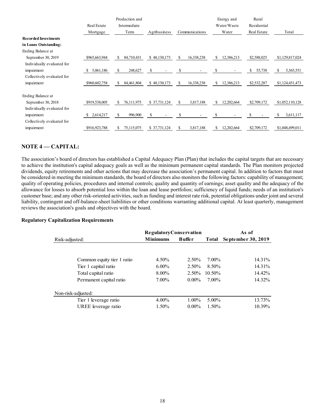|                             |                | Production and      |               |                 | Energy and        | Rural        |                 |
|-----------------------------|----------------|---------------------|---------------|-----------------|-------------------|--------------|-----------------|
|                             | Real Estate    | Intermediate        |               |                 | Water/Waste       | Residential  |                 |
|                             | Mortgage       | Term                | Agribusiness  | Communications  | Water             | Real Estate  | Total           |
| <b>Recorded Investments</b> |                |                     |               |                 |                   |              |                 |
| in Loans Outstanding:       |                |                     |               |                 |                   |              |                 |
| Ending Balance at           |                |                     |               |                 |                   |              |                 |
| September 30, 2019          | \$965,663,944  | 84,710,431<br>S.    | \$48,130,173  | 16,338,238<br>S | 12,386,213<br>S   | \$2,588,025  | \$1,129,817,024 |
| Individually evaluated for  |                |                     |               |                 |                   |              |                 |
| impairment                  | 5,061,186<br>S | S.<br>248,627       | <sup>\$</sup> | \$              | S                 | S.<br>55,738 | \$<br>5,365,551 |
| Collectively evaluated for  |                |                     |               |                 |                   |              |                 |
| impairment                  | \$960,602,758  | \$.<br>84, 461, 804 | \$48,130,173  | 16,338,238<br>S | \$.<br>12,386,213 | \$2,532,287  | \$1,124,451,473 |
| Ending Balance at           |                |                     |               |                 |                   |              |                 |
| September 30, 2018          | \$919,538,005  | 76,111,975<br>\$.   | \$37,731,124  | 3,817,188<br>S. | \$.<br>12,202,664 | \$2,709,172  | \$1,052,110,128 |
| Individually evaluated for  |                |                     |               |                 |                   |              |                 |
| impairment                  | 2,614,217<br>S | 996,900<br>\$       | S             | \$              | S                 |              | 3,611,117<br>ς  |
| Collectively evaluated for  |                |                     |               |                 |                   |              |                 |
| impairment                  | \$916,923,788  | 75,115,075          | \$37,731,124  | 3,817,188       | 12,202,664        | \$2,709,172  | \$1,048,499,011 |

# **NOTE 4 –– CAPITAL:**

The association's board of directors has established a Capital Adequacy Plan (Plan) that includes the capital targets that are necessary to achieve the institution's capital adequacy goals as well as the minimum permanent capital standards. The Plan monitors projected dividends, equity retirements and other actions that may decrease the association's permanent capital. In addition to factors that must be considered in meeting the minimum standards, the board of directors also monitors the following factors: capability of management; quality of operating policies, procedures and internal controls; quality and quantity of earnings; asset quality and the adequacy of the allowance for losses to absorb potential loss within the loan and lease portfolios; sufficiency of liquid funds; needs of an institution's customer base; and any other risk-oriented activities, such as funding and interest rate risk, potential obligations under joint and several liability, contingent and off-balance-sheet liabilities or other conditions warranting additional capital. At least quarterly, management reviews the association's goals and objectives with the board.

#### **Regulatory Capitalization Requirements**

|                            | <b>RegulatoryConservation</b>    |          |           | As of              |  |  |
|----------------------------|----------------------------------|----------|-----------|--------------------|--|--|
| Risk-adjusted:             | <b>Minimums</b><br><b>Buffer</b> |          | Total     | September 30, 2019 |  |  |
|                            |                                  |          |           |                    |  |  |
| Common equity tier 1 ratio | 4.50%                            | $2.50\%$ | 7.00%     | 14.31%             |  |  |
| Tier 1 capital ratio       | $6.00\%$                         | $2.50\%$ | 8.50%     | 14.31%             |  |  |
| Total capital ratio        | $8.00\%$                         | $2.50\%$ | $10.50\%$ | 14.42%             |  |  |
| Permanent capital ratio    | 7.00%                            | $0.00\%$ | 7.00%     | 14.32%             |  |  |
| Non-risk-adjusted:         |                                  |          |           |                    |  |  |
| Tier 1 leverage ratio      | $4.00\%$                         | $1.00\%$ | $5.00\%$  | 13.73%             |  |  |
| UREE leverage ratio        | 1.50%                            | $0.00\%$ | $1.50\%$  | 10.39%             |  |  |
|                            |                                  |          |           |                    |  |  |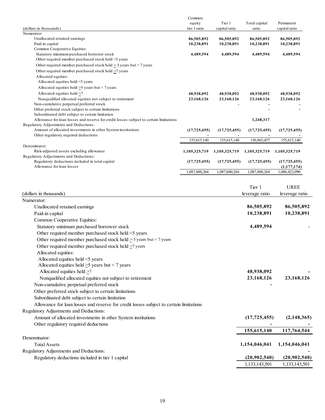|                                                                                                                                           | Common         |                |                |                |
|-------------------------------------------------------------------------------------------------------------------------------------------|----------------|----------------|----------------|----------------|
|                                                                                                                                           | equity         | Tier 1         | Total capital  | Permanent      |
| (dollars in thousands)<br>Numerator:                                                                                                      | tier 1 ratio   | capital ratio  | ratio          | capital ratio  |
| Unallocated retained earnings                                                                                                             | 86,505,892     | 86,505,892     | 86,505,892     | 86,505,892     |
| Paid-in capital                                                                                                                           | 10,238,891     | 10,238,891     | 10,238,891     | 10,238,891     |
| Common Cooperative Equities:                                                                                                              |                |                |                |                |
| Statutory minimum purchased borrower stock                                                                                                | 4,489,594      | 4,489,594      | 4,489,594      | 4,489,594      |
| Other required member purchased stock held <5 years                                                                                       |                |                |                |                |
| Other required member purchased stock held $\geq$ 5 years but < 7 years                                                                   |                |                |                |                |
| Other required member purchased stock held >7 years<br>Allocated equities:                                                                |                |                |                |                |
| Allocated equities held $\leq$ years                                                                                                      |                |                |                |                |
| Allocated equities held $\geq$ 5 years but < 7 years                                                                                      |                |                |                |                |
| Allocated equities held >7                                                                                                                | 48,938,092     | 48,938,092     | 48,938,092     | 48,938,092     |
| Nonqualified allocated equities not subject to retirement                                                                                 | 23,168,126     | 23,168,126     | 23,168,126     | 23,168,126     |
| Non-cumulative perpetual preferred stock                                                                                                  |                |                |                |                |
| Other preferred stock subject to certain limitations                                                                                      |                |                |                |                |
| Subordinated debt subject to certain limitation<br>Allowance for loan losses and reserve for credit losses subject to certain limitations |                |                | 1,248,317      |                |
| Regulatory Adjustments and Deductions:                                                                                                    |                |                |                |                |
| Amount of allocated investments in other System institutions                                                                              | (17, 725, 455) | (17,725,455)   | (17, 725, 455) | (17, 725, 455) |
| Other regulatory required deductions                                                                                                      |                |                |                |                |
|                                                                                                                                           | 155,615,140    | 155,615,140    | 156,863,457    | 155,615,140    |
| Denominator:                                                                                                                              |                |                |                |                |
| Risk-adjusted assets excluding allowance<br>Regulatory Adjustments and Deductions:                                                        | 1,105,325,719  | 1,105,325,719  | 1,105,325,719  | 1,105,325,719  |
| Regulatory deductions included in total capital                                                                                           | (17, 725, 455) | (17, 725, 455) | (17, 725, 455) | (17, 725, 455) |
| Allowance for loan losses                                                                                                                 |                |                |                | (1,177,174)    |
|                                                                                                                                           | 1,087,600,264  | 1,087,600,264  | 1,087,600,264  | 1,086,423,090  |
|                                                                                                                                           |                |                |                |                |
|                                                                                                                                           |                |                | Tier 1         | <b>UREE</b>    |
| (dollars in thousands)                                                                                                                    |                |                | leverage ratio | leverage ratio |
| Numerator:                                                                                                                                |                |                |                |                |
| Unallocated retained earnings                                                                                                             |                |                | 86,505,892     | 86,505,892     |
| Paid-in capital                                                                                                                           |                |                | 10,238,891     | 10,238,891     |
| Common Cooperative Equities:                                                                                                              |                |                |                |                |
| Statutory minimum purchased borrower stock                                                                                                |                |                | 4,489,594      |                |
| Other required member purchased stock held <5 years                                                                                       |                |                |                |                |
| Other required member purchased stock held $\geq$ 5 years but < 7 years                                                                   |                |                |                |                |
|                                                                                                                                           |                |                |                |                |
| Other required member purchased stock held $\geq$ 7 years                                                                                 |                |                |                |                |
| Allocated equities:                                                                                                                       |                |                |                |                |
| Allocated equities held <5 years                                                                                                          |                |                |                |                |
| Allocated equities held $\geq$ 5 years but < 7 years                                                                                      |                |                |                |                |
| Allocated equities held $\geq 7$                                                                                                          |                |                | 48,938,092     |                |
| Nonqualified allocated equities not subject to retirement                                                                                 |                |                | 23,168,126     | 23,168,126     |
| Non-cumulative perpetual preferred stock                                                                                                  |                |                |                |                |
| Other preferred stock subject to certain limitations                                                                                      |                |                |                |                |
| Subordinated debt subject to certain limitation                                                                                           |                |                |                |                |
| Allowance for loan losses and reserve for credit losses subject to certain limitations                                                    |                |                |                |                |
| Regulatory Adjustments and Deductions:                                                                                                    |                |                |                |                |
| Amount of allocated investments in other System institutions                                                                              |                |                | (17, 725, 455) | (2, 148, 365)  |
| Other regulatory required deductions                                                                                                      |                |                |                |                |
|                                                                                                                                           |                |                | 155,615,140    | 117,764,544    |
| Denominator:                                                                                                                              |                |                |                |                |
| <b>Total Assets</b>                                                                                                                       |                |                | 1,154,046,041  | 1,154,046,041  |
| Regulatory Adjustments and Deductions:                                                                                                    |                |                |                |                |
|                                                                                                                                           |                |                | (20,902,540)   | (20,902,540)   |
| Regulatory deductions included in tier 1 capital                                                                                          |                |                |                |                |
|                                                                                                                                           |                |                | 1,133,143,501  | 1,133,143,501  |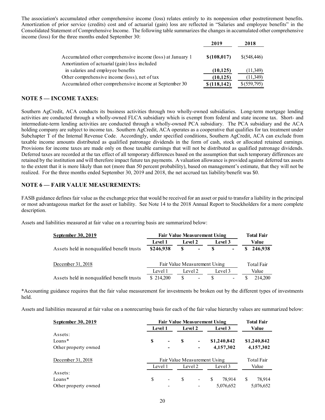The association's accumulated other comprehensive income (loss) relates entirely to its nonpension other postretirement benefits. Amortization of prior service (credits) cost and of actuarial (gain) loss are reflected in "Salaries and employee benefits" in the Consolidated Statement of Comprehensive Income. The following table summarizes the changes in accumulated other comprehensive income (loss) for the three months ended September 30:

|                                                                                                              | 2019         | 2018         |
|--------------------------------------------------------------------------------------------------------------|--------------|--------------|
| Accumulated other comprehensive income (loss) at January 1<br>Amortization of actuarial (gain) loss included | \$(108, 017) | \$(548, 446) |
| in salaries and employee benefits                                                                            | (10, 125)    | (11,349)     |
| Other comprehensive income (loss), net of tax                                                                | (10, 125)    | (11,349)     |
| Accumulated other comprehensive income at September 30                                                       | \$(118, 142) | \$(559,795)  |

# **NOTE 5 — INCOME TAXES:**

Southern AgCredit, ACA conducts its business activities through two wholly-owned subsidiaries. Long-term mortgage lending activities are conducted through a wholly-owned FLCA subsidiary which is exempt from federal and state income tax. Short- and intermediate-term lending activities are conducted through a wholly-owned PCA subsidiary. The PCA subsidiary and the ACA holding company are subject to income tax. Southern AgCredit, ACA operates as a cooperative that qualifies for tax treatment under Subchapter T of the Internal Revenue Code. Accordingly, under specified conditions, Southern AgCredit, ACA can exclude from taxable income amounts distributed as qualified patronage dividends in the form of cash, stock or allocated retained earnings. Provisions for income taxes are made only on those taxable earnings that will not be distributed as qualified patronage dividends. Deferred taxes are recorded at the tax effect of all temporary differences based on the assumption that such temporary differences are retained by the institution and will therefore impact future tax payments. A valuation allowance is provided against deferred tax assets to the extent that it is more likely than not (more than 50 percent probability), based on management's estimate, that they will not be realized. For the three months ended September 30, 2019 and 2018, the net accrued tax liability/benefit was \$0.

# **NOTE 6 — FAIR VALUE MEASUREMENTS:**

FASB guidance defines fair value as the exchange price that would be received for an asset or paid to transfer a liability in the principal or most advantageous market for the asset or liability. See Note 14 to the 2018 Annual Report to Stockholders for a more complete description.

Assets and liabilities measured at fair value on a recurring basis are summarized below:

| September 30, 2019                         | <b>Fair Value Measurement Using</b> |                              | <b>Total Fair</b>        |            |                          |       |         |  |
|--------------------------------------------|-------------------------------------|------------------------------|--------------------------|------------|--------------------------|-------|---------|--|
|                                            | <b>Level 1</b>                      | Level 2                      |                          | Level 3    |                          | Value |         |  |
| Assets held in nonqualified benefit trusts | \$246,938                           | S                            | $\sim 100$               | -8         | ۰                        |       | 246,938 |  |
| December 31, 2018                          |                                     | Fair Value Measurement Using |                          | Total Fair |                          |       |         |  |
|                                            | Level 1                             | Level 2                      |                          |            | Level 3                  |       | Value   |  |
| Assets held in nonqualified benefit trusts | \$214,200                           | S                            | $\overline{\phantom{a}}$ | S          | $\overline{\phantom{a}}$ |       | 214,200 |  |

\*Accounting guidance requires that the fair value measurement for investments be broken out by the different types of investments held.

Assets and liabilities measured at fair value on a nonrecurring basis for each of the fair value hierarchy values are summarized below:

| September 30, 2019   | <b>Fair Value Measurement Using</b> |                              | <b>Total Fair</b> |                          |               |             |               |             |  |
|----------------------|-------------------------------------|------------------------------|-------------------|--------------------------|---------------|-------------|---------------|-------------|--|
|                      |                                     | Level 1                      |                   | <b>Level 2</b>           |               | Level 3     |               | Value       |  |
| Assets:              |                                     |                              |                   |                          |               |             |               |             |  |
| $Loans*$             | S                                   | ۰                            | S                 | ٠                        |               | \$1,240,842 |               | \$1,240,842 |  |
| Other property owned |                                     |                              |                   | ۰                        |               | 4,157,302   |               | 4,157,302   |  |
| December 31, 2018    |                                     | Fair Value Measurement Using |                   |                          |               |             | Total Fair    |             |  |
|                      | Level 1                             |                              |                   | Level 2                  |               | Level 3     |               | Value       |  |
| Assets:              |                                     |                              |                   |                          |               |             |               |             |  |
| Loans $*$            | \$                                  | $\overline{\phantom{0}}$     | S                 | $\overline{\phantom{a}}$ | <sup>\$</sup> | 78.914      | <sup>\$</sup> | 78,914      |  |
| Other property owned |                                     |                              |                   |                          |               | 5,076,652   |               | 5,076,652   |  |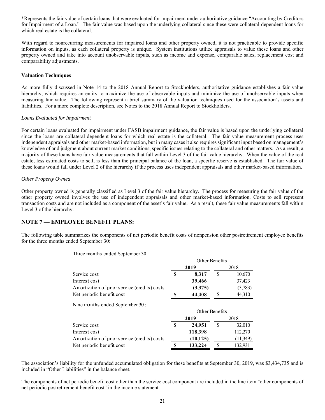\*Represents the fair value of certain loans that were evaluated for impairment under authoritative guidance "Accounting by Creditors for Impairment of a Loan." The fair value was based upon the underlying collateral since these were collateral-dependent loans for which real estate is the collateral.

With regard to nonrecurring measurements for impaired loans and other property owned, it is not practicable to provide specific information on inputs, as each collateral property is unique. System institutions utilize appraisals to value these loans and other property owned and take into account unobservable inputs, such as income and expense, comparable sales, replacement cost and comparability adjustments.

#### **Valuation Techniques**

As more fully discussed in Note 14 to the 2018 Annual Report to Stockholders, authoritative guidance establishes a fair value hierarchy, which requires an entity to maximize the use of observable inputs and minimize the use of unobservable inputs when measuring fair value. The following represent a brief summary of the valuation techniques used for the association's assets and liabilities. For a more complete description, see Notes to the 2018 Annual Report to Stockholders.

#### *Loans Evaluated for Impairment*

For certain loans evaluated for impairment under FASB impairment guidance, the fair value is based upon the underlying collateral since the loans are collateral-dependent loans for which real estate is the collateral. The fair value measurement process uses independent appraisals and other market-based information, but in many cases it also requires significant input based on management's knowledge of and judgment about current market conditions, specific issues relating to the collateral and other matters. As a result, a majority of these loans have fair value measurements that fall within Level 3 of the fair value hierarchy. When the value of the real estate, less estimated costs to sell, is less than the principal balance of the loan, a specific reserve is established. The fair value of these loans would fall under Level 2 of the hierarchy if the process uses independent appraisals and other market-based information.

#### *Other Property Owned*

Other property owned is generally classified as Level 3 of the fair value hierarchy. The process for measuring the fair value of the other property owned involves the use of independent appraisals and other market-based information. Costs to sell represent transaction costs and are not included as a component of the asset's fair value. As a result, these fair value measurements fall within Level 3 of the hierarchy.

#### **NOTE 7 — EMPLOYEE BENEFIT PLANS:**

The following table summarizes the components of net periodic benefit costs of nonpension other postretirement employee benefits for the three months ended September 30:

Three months ended September 30 :

|                                               |   |                | Other Benefits |          |  |
|-----------------------------------------------|---|----------------|----------------|----------|--|
|                                               |   | 2019           |                | 2018     |  |
| Service cost                                  | S | 8,317          | S              | 10,670   |  |
| Interest cost                                 |   | 39,466         |                | 37,423   |  |
| Amortization of prior service (credits) costs |   | (3,375)        |                | (3,783)  |  |
| Net periodic benefit cost                     |   | 44,408         | S              | 44,310   |  |
| Nine months ended September 30:               |   | Other Benefits |                |          |  |
|                                               |   | 2019           |                | 2018     |  |
| Service cost                                  | S | 24,951         | \$             | 32,010   |  |
| Interest cost                                 |   | 118,398        |                | 112,270  |  |
| Amortization of prior service (credits) costs |   | (10, 125)      |                | (11,349) |  |
| Net periodic benefit cost                     |   | 133,224        | S              | 132,931  |  |

The association's liability for the unfunded accumulated obligation for these benefits at September 30, 2019, was \$3,434,735 and is included in "Other Liabilities" in the balance sheet.

The components of net periodic benefit cost other than the service cost component are included in the line item "other components of net periodic postretirement benefit cost" in the income statement.